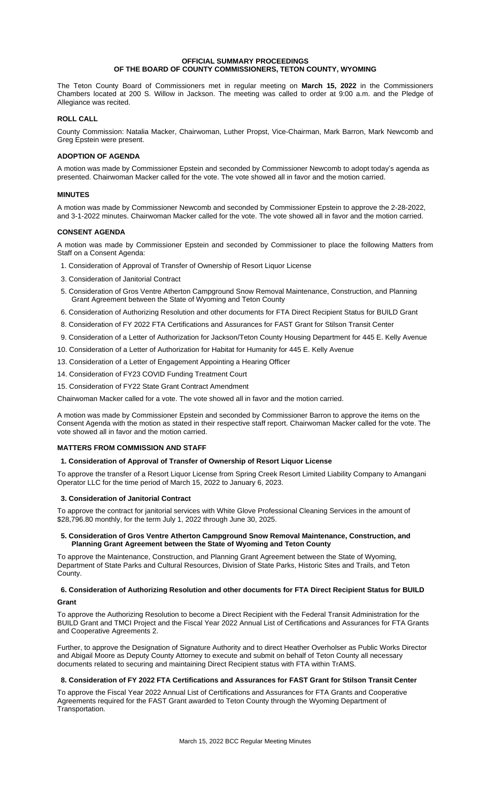### **OFFICIAL SUMMARY PROCEEDINGS OF THE BOARD OF COUNTY COMMISSIONERS, TETON COUNTY, WYOMING**

The Teton County Board of Commissioners met in regular meeting on **March 15, 2022** in the Commissioners Chambers located at 200 S. Willow in Jackson. The meeting was called to order at 9:00 a.m. and the Pledge of Allegiance was recited.

# **ROLL CALL**

County Commission: Natalia Macker, Chairwoman, Luther Propst, Vice-Chairman, Mark Barron, Mark Newcomb and Greg Epstein were present.

# **ADOPTION OF AGENDA**

A motion was made by Commissioner Epstein and seconded by Commissioner Newcomb to adopt today's agenda as presented. Chairwoman Macker called for the vote. The vote showed all in favor and the motion carried.

## **MINUTES**

A motion was made by Commissioner Newcomb and seconded by Commissioner Epstein to approve the 2-28-2022, and 3-1-2022 minutes. Chairwoman Macker called for the vote. The vote showed all in favor and the motion carried.

## **CONSENT AGENDA**

A motion was made by Commissioner Epstein and seconded by Commissioner to place the following Matters from Staff on a Consent Agenda:

- 1. Consideration of Approval of Transfer of Ownership of Resort Liquor License
- 3. Consideration of Janitorial Contract
- 5. Consideration of Gros Ventre Atherton Campground Snow Removal Maintenance, Construction, and Planning Grant Agreement between the State of Wyoming and Teton County
- 6. Consideration of Authorizing Resolution and other documents for FTA Direct Recipient Status for BUILD Grant
- 8. Consideration of FY 2022 FTA Certifications and Assurances for FAST Grant for Stilson Transit Center
- 9. Consideration of a Letter of Authorization for Jackson/Teton County Housing Department for 445 E. Kelly Avenue
- 10. Consideration of a Letter of Authorization for Habitat for Humanity for 445 E. Kelly Avenue
- 13. Consideration of a Letter of Engagement Appointing a Hearing Officer
- 14. Consideration of FY23 COVID Funding Treatment Court
- 15. Consideration of FY22 State Grant Contract Amendment

Chairwoman Macker called for a vote. The vote showed all in favor and the motion carried.

A motion was made by Commissioner Epstein and seconded by Commissioner Barron to approve the items on the Consent Agenda with the motion as stated in their respective staff report. Chairwoman Macker called for the vote. The vote showed all in favor and the motion carried.

# **MATTERS FROM COMMISSION AND STAFF**

### **1. Consideration of Approval of Transfer of Ownership of Resort Liquor License**

To approve the transfer of a Resort Liquor License from Spring Creek Resort Limited Liability Company to Amangani Operator LLC for the time period of March 15, 2022 to January 6, 2023.

### **3. Consideration of Janitorial Contract**

To approve the contract for janitorial services with White Glove Professional Cleaning Services in the amount of \$28,796.80 monthly, for the term July 1, 2022 through June 30, 2025.

## **5. Consideration of Gros Ventre Atherton Campground Snow Removal Maintenance, Construction, and Planning Grant Agreement between the State of Wyoming and Teton County**

To approve the Maintenance, Construction, and Planning Grant Agreement between the State of Wyoming, Department of State Parks and Cultural Resources, Division of State Parks, Historic Sites and Trails, and Teton County.

# **6. Consideration of Authorizing Resolution and other documents for FTA Direct Recipient Status for BUILD Grant**

To approve the Authorizing Resolution to become a Direct Recipient with the Federal Transit Administration for the BUILD Grant and TMCI Project and the Fiscal Year 2022 Annual List of Certifications and Assurances for FTA Grants and Cooperative Agreements 2.

Further, to approve the Designation of Signature Authority and to direct Heather Overholser as Public Works Director and Abigail Moore as Deputy County Attorney to execute and submit on behalf of Teton County all necessary documents related to securing and maintaining Direct Recipient status with FTA within TrAMS.

# **8. Consideration of FY 2022 FTA Certifications and Assurances for FAST Grant for Stilson Transit Center**

To approve the Fiscal Year 2022 Annual List of Certifications and Assurances for FTA Grants and Cooperative Agreements required for the FAST Grant awarded to Teton County through the Wyoming Department of Transportation.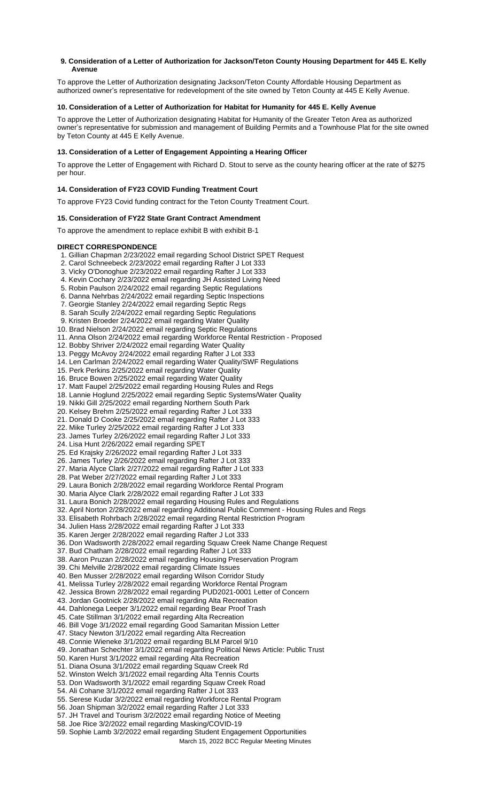## **9. Consideration of a Letter of Authorization for Jackson/Teton County Housing Department for 445 E. Kelly Avenue**

To approve the Letter of Authorization designating Jackson/Teton County Affordable Housing Department as authorized owner's representative for redevelopment of the site owned by Teton County at 445 E Kelly Avenue.

## **10. Consideration of a Letter of Authorization for Habitat for Humanity for 445 E. Kelly Avenue**

To approve the Letter of Authorization designating Habitat for Humanity of the Greater Teton Area as authorized owner's representative for submission and management of Building Permits and a Townhouse Plat for the site owned by Teton County at 445 E Kelly Avenue.

# **13. Consideration of a Letter of Engagement Appointing a Hearing Officer**

To approve the Letter of Engagement with Richard D. Stout to serve as the county hearing officer at the rate of \$275 per hour.

## **14. Consideration of FY23 COVID Funding Treatment Court**

To approve FY23 Covid funding contract for the Teton County Treatment Court.

### **15. Consideration of FY22 State Grant Contract Amendment**

To approve the amendment to replace exhibit B with exhibit B-1

#### **DIRECT CORRESPONDENCE**

- 1. Gillian Chapman 2/23/2022 email regarding School District SPET Request
- 2. Carol Schneebeck 2/23/2022 email regarding Rafter J Lot 333
- 3. Vicky O'Donoghue 2/23/2022 email regarding Rafter J Lot 333
- 4. Kevin Cochary 2/23/2022 email regarding JH Assisted Living Need
- 5. Robin Paulson 2/24/2022 email regarding Septic Regulations
- 6. Danna Nehrbas 2/24/2022 email regarding Septic Inspections
- 7. Georgie Stanley 2/24/2022 email regarding Septic Regs
- 8. Sarah Scully 2/24/2022 email regarding Septic Regulations
- 9. Kristen Broeder 2/24/2022 email regarding Water Quality
- 10. Brad Nielson 2/24/2022 email regarding Septic Regulations
- 11. Anna Olson 2/24/2022 email regarding Workforce Rental Restriction Proposed
- 12. Bobby Shriver 2/24/2022 email regarding Water Quality
- 13. Peggy McAvoy 2/24/2022 email regarding Rafter J Lot 333
- 14. Len Carlman 2/24/2022 email regarding Water Quality/SWF Regulations
- 15. Perk Perkins 2/25/2022 email regarding Water Quality 16. Bruce Bowen 2/25/2022 email regarding Water Quality
- 17. Matt Faupel 2/25/2022 email regarding Housing Rules and Regs
- 18. Lannie Hoglund 2/25/2022 email regarding Septic Systems/Water Quality
- 19. Nikki Gill 2/25/2022 email regarding Northern South Park
- 20. Kelsey Brehm 2/25/2022 email regarding Rafter J Lot 333
- 21. Donald D Cooke 2/25/2022 email regarding Rafter J Lot 333
- 22. Mike Turley 2/25/2022 email regarding Rafter J Lot 333
- 23. James Turley 2/26/2022 email regarding Rafter J Lot 333
- 24. Lisa Hunt 2/26/2022 email regarding SPET
- 25. Ed Krajsky 2/26/2022 email regarding Rafter J Lot 333
- 26. James Turley 2/26/2022 email regarding Rafter J Lot 333
- 27. Maria Alyce Clark 2/27/2022 email regarding Rafter J Lot 333
- 28. Pat Weber 2/27/2022 email regarding Rafter J Lot 333
- 29. Laura Bonich 2/28/2022 email regarding Workforce Rental Program
- 30. Maria Alyce Clark 2/28/2022 email regarding Rafter J Lot 333
- 31. Laura Bonich 2/28/2022 email regarding Housing Rules and Regulations
- 32. April Norton 2/28/2022 email regarding Additional Public Comment Housing Rules and Regs
- 33. Elisabeth Rohrbach 2/28/2022 email regarding Rental Restriction Program
- 34. Julien Hass 2/28/2022 email regarding Rafter J Lot 333
- 35. Karen Jerger 2/28/2022 email regarding Rafter J Lot 333
- 36. Don Wadsworth 2/28/2022 email regarding Squaw Creek Name Change Request
- 37. Bud Chatham 2/28/2022 email regarding Rafter J Lot 333
- 38. Aaron Pruzan 2/28/2022 email regarding Housing Preservation Program
- 39. Chi Melville 2/28/2022 email regarding Climate Issues
- 40. Ben Musser 2/28/2022 email regarding Wilson Corridor Study
- 41. Melissa Turley 2/28/2022 email regarding Workforce Rental Program
- 42. Jessica Brown 2/28/2022 email regarding PUD2021-0001 Letter of Concern
- 43. Jordan Gootnick 2/28/2022 email regarding Alta Recreation
- 44. Dahlonega Leeper 3/1/2022 email regarding Bear Proof Trash
- 45. Cate Stillman 3/1/2022 email regarding Alta Recreation
- 46. Bill Voge 3/1/2022 email regarding Good Samaritan Mission Letter
- 47. Stacy Newton 3/1/2022 email regarding Alta Recreation
- 48. Connie Wieneke 3/1/2022 email regarding BLM Parcel 9/10
- 49. Jonathan Schechter 3/1/2022 email regarding Political News Article: Public Trust
- 50. Karen Hurst 3/1/2022 email regarding Alta Recreation
- 51. Diana Osuna 3/1/2022 email regarding Squaw Creek Rd
- 52. Winston Welch 3/1/2022 email regarding Alta Tennis Courts
- 53. Don Wadsworth 3/1/2022 email regarding Squaw Creek Road
- 54. Ali Cohane 3/1/2022 email regarding Rafter J Lot 333
- 55. Serese Kudar 3/2/2022 email regarding Workforce Rental Program
- 56. Joan Shipman 3/2/2022 email regarding Rafter J Lot 333
- 57. JH Travel and Tourism 3/2/2022 email regarding Notice of Meeting
- 58. Joe Rice 3/2/2022 email regarding Masking/COVID-19
- 59. Sophie Lamb 3/2/2022 email regarding Student Engagement Opportunities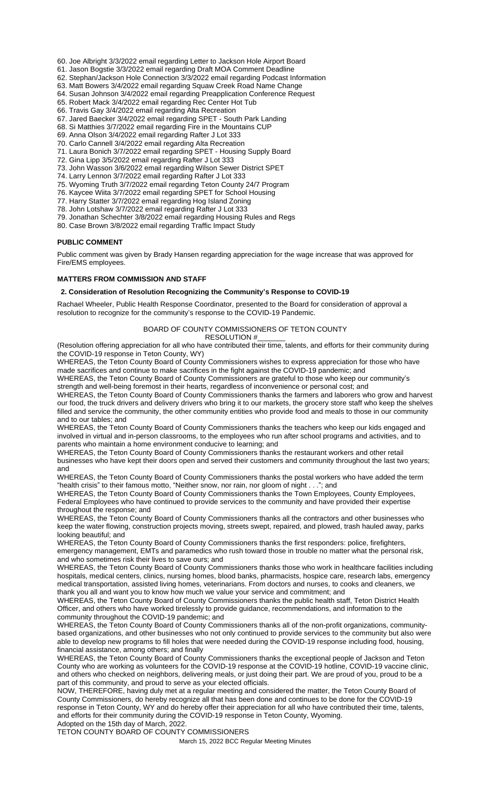- 60. Joe Albright 3/3/2022 email regarding Letter to Jackson Hole Airport Board
- 61. Jason Bogstie 3/3/2022 email regarding Draft MOA Comment Deadline
- 62. Stephan/Jackson Hole Connection 3/3/2022 email regarding Podcast Information
- 63. Matt Bowers 3/4/2022 email regarding Squaw Creek Road Name Change
- 64. Susan Johnson 3/4/2022 email regarding Preapplication Conference Request
- 65. Robert Mack 3/4/2022 email regarding Rec Center Hot Tub
- 66. Travis Gay 3/4/2022 email regarding Alta Recreation
- 67. Jared Baecker 3/4/2022 email regarding SPET South Park Landing
- 68. Si Matthies 3/7/2022 email regarding Fire in the Mountains CUP
- 69. Anna Olson 3/4/2022 email regarding Rafter J Lot 333
- 70. Carlo Cannell 3/4/2022 email regarding Alta Recreation 71. Laura Bonich 3/7/2022 email regarding SPET - Housing Supply Board
- 72. Gina Lipp 3/5/2022 email regarding Rafter J Lot 333
- 73. John Wasson 3/6/2022 email regarding Wilson Sewer District SPET
- 74. Larry Lennon 3/7/2022 email regarding Rafter J Lot 333
- 75. Wyoming Truth 3/7/2022 email regarding Teton County 24/7 Program
- 76. Kaycee Wiita 3/7/2022 email regarding SPET for School Housing
- 77. Harry Statter 3/7/2022 email regarding Hog Island Zoning
- 78. John Lotshaw 3/7/2022 email regarding Rafter J Lot 333
- 79. Jonathan Schechter 3/8/2022 email regarding Housing Rules and Regs
- 80. Case Brown 3/8/2022 email regarding Traffic Impact Study

#### **PUBLIC COMMENT**

Public comment was given by Brady Hansen regarding appreciation for the wage increase that was approved for Fire/EMS employees.

#### **MATTERS FROM COMMISSION AND STAFF**

### **2. Consideration of Resolution Recognizing the Community's Response to COVID-19**

Rachael Wheeler, Public Health Response Coordinator, presented to the Board for consideration of approval a resolution to recognize for the community's response to the COVID-19 Pandemic.

# BOARD OF COUNTY COMMISSIONERS OF TETON COUNTY

RESOLUTION #\_\_\_\_\_\_\_

(Resolution offering appreciation for all who have contributed their time, talents, and efforts for their community during the COVID-19 response in Teton County, WY)

WHEREAS, the Teton County Board of County Commissioners wishes to express appreciation for those who have made sacrifices and continue to make sacrifices in the fight against the COVID-19 pandemic; and

WHEREAS, the Teton County Board of County Commissioners are grateful to those who keep our community's strength and well-being foremost in their hearts, regardless of inconvenience or personal cost; and

WHEREAS, the Teton County Board of County Commissioners thanks the farmers and laborers who grow and harvest our food, the truck drivers and delivery drivers who bring it to our markets, the grocery store staff who keep the shelves filled and service the community, the other community entities who provide food and meals to those in our community and to our tables; and

WHEREAS, the Teton County Board of County Commissioners thanks the teachers who keep our kids engaged and involved in virtual and in-person classrooms, to the employees who run after school programs and activities, and to parents who maintain a home environment conducive to learning; and

WHEREAS, the Teton County Board of County Commissioners thanks the restaurant workers and other retail businesses who have kept their doors open and served their customers and community throughout the last two years; and

WHEREAS, the Teton County Board of County Commissioners thanks the postal workers who have added the term "health crisis" to their famous motto, "Neither snow, nor rain, nor gloom of night . . ."; and

WHEREAS, the Teton County Board of County Commissioners thanks the Town Employees, County Employees, Federal Employees who have continued to provide services to the community and have provided their expertise throughout the response; and

WHEREAS, the Teton County Board of County Commissioners thanks all the contractors and other businesses who keep the water flowing, construction projects moving, streets swept, repaired, and plowed, trash hauled away, parks looking beautiful; and

WHEREAS, the Teton County Board of County Commissioners thanks the first responders: police, firefighters, emergency management, EMTs and paramedics who rush toward those in trouble no matter what the personal risk, and who sometimes risk their lives to save ours; and

WHEREAS, the Teton County Board of County Commissioners thanks those who work in healthcare facilities including hospitals, medical centers, clinics, nursing homes, blood banks, pharmacists, hospice care, research labs, emergency medical transportation, assisted living homes, veterinarians. From doctors and nurses, to cooks and cleaners, we thank you all and want you to know how much we value your service and commitment; and

WHEREAS, the Teton County Board of County Commissioners thanks the public health staff, Teton District Health Officer, and others who have worked tirelessly to provide guidance, recommendations, and information to the community throughout the COVID-19 pandemic; and

WHEREAS, the Teton County Board of County Commissioners thanks all of the non-profit organizations, communitybased organizations, and other businesses who not only continued to provide services to the community but also were able to develop new programs to fill holes that were needed during the COVID-19 response including food, housing, financial assistance, among others; and finally

WHEREAS, the Teton County Board of County Commissioners thanks the exceptional people of Jackson and Teton County who are working as volunteers for the COVID-19 response at the COVID-19 hotline, COVID-19 vaccine clinic, and others who checked on neighbors, delivering meals, or just doing their part. We are proud of you, proud to be a part of this community, and proud to serve as your elected officials.

NOW, THEREFORE, having duly met at a regular meeting and considered the matter, the Teton County Board of County Commissioners, do hereby recognize all that has been done and continues to be done for the COVID-19 response in Teton County, WY and do hereby offer their appreciation for all who have contributed their time, talents, and efforts for their community during the COVID-19 response in Teton County, Wyoming. Adopted on the 15th day of March, 2022.

TETON COUNTY BOARD OF COUNTY COMMISSIONERS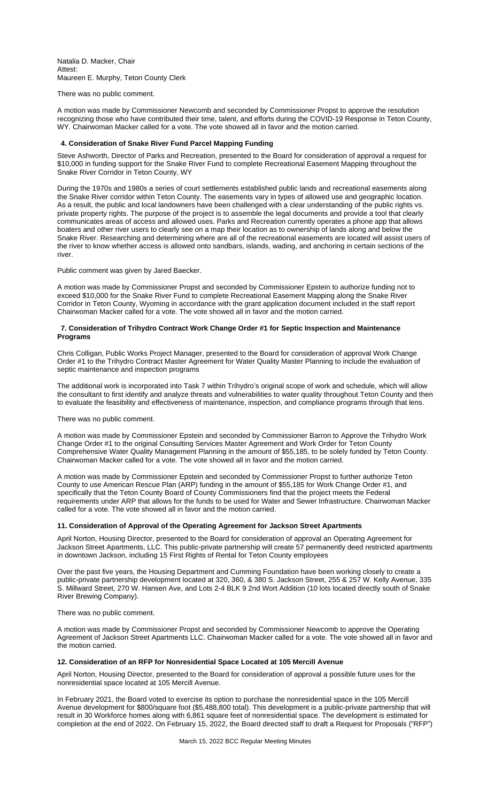Natalia D. Macker, Chair Attest: Maureen E. Murphy, Teton County Clerk

There was no public comment.

A motion was made by Commissioner Newcomb and seconded by Commissioner Propst to approve the resolution recognizing those who have contributed their time, talent, and efforts during the COVID-19 Response in Teton County, WY. Chairwoman Macker called for a vote. The vote showed all in favor and the motion carried.

#### **4. Consideration of Snake River Fund Parcel Mapping Funding**

Steve Ashworth, Director of Parks and Recreation, presented to the Board for consideration of approval a request for \$10,000 in funding support for the Snake River Fund to complete Recreational Easement Mapping throughout the Snake River Corridor in Teton County, WY

During the 1970s and 1980s a series of court settlements established public lands and recreational easements along the Snake River corridor within Teton County. The easements vary in types of allowed use and geographic location. As a result, the public and local landowners have been challenged with a clear understanding of the public rights vs. private property rights. The purpose of the project is to assemble the legal documents and provide a tool that clearly communicates areas of access and allowed uses. Parks and Recreation currently operates a phone app that allows boaters and other river users to clearly see on a map their location as to ownership of lands along and below the Snake River. Researching and determining where are all of the recreational easements are located will assist users of the river to know whether access is allowed onto sandbars, islands, wading, and anchoring in certain sections of the river.

Public comment was given by Jared Baecker.

A motion was made by Commissioner Propst and seconded by Commissioner Epstein to authorize funding not to exceed \$10,000 for the Snake River Fund to complete Recreational Easement Mapping along the Snake River Corridor in Teton County, Wyoming in accordance with the grant application document included in the staff report Chairwoman Macker called for a vote. The vote showed all in favor and the motion carried.

### **7. Consideration of Trihydro Contract Work Change Order #1 for Septic Inspection and Maintenance Programs**

Chris Colligan, Public Works Project Manager, presented to the Board for consideration of approval Work Change Order #1 to the Trihydro Contract Master Agreement for Water Quality Master Planning to include the evaluation of septic maintenance and inspection programs

The additional work is incorporated into Task 7 within Trihydro's original scope of work and schedule, which will allow the consultant to first identify and analyze threats and vulnerabilities to water quality throughout Teton County and then to evaluate the feasibility and effectiveness of maintenance, inspection, and compliance programs through that lens.

There was no public comment.

A motion was made by Commissioner Epstein and seconded by Commissioner Barron to Approve the Trihydro Work Change Order #1 to the original Consulting Services Master Agreement and Work Order for Teton County Comprehensive Water Quality Management Planning in the amount of \$55,185, to be solely funded by Teton County. Chairwoman Macker called for a vote. The vote showed all in favor and the motion carried.

A motion was made by Commissioner Epstein and seconded by Commissioner Propst to further authorize Teton County to use American Rescue Plan (ARP) funding in the amount of \$55,185 for Work Change Order #1, and specifically that the Teton County Board of County Commissioners find that the project meets the Federal requirements under ARP that allows for the funds to be used for Water and Sewer Infrastructure. Chairwoman Macker called for a vote. The vote showed all in favor and the motion carried.

## **11. Consideration of Approval of the Operating Agreement for Jackson Street Apartments**

April Norton, Housing Director, presented to the Board for consideration of approval an Operating Agreement for Jackson Street Apartments, LLC. This public-private partnership will create 57 permanently deed restricted apartments in downtown Jackson, including 15 First Rights of Rental for Teton County employees

Over the past five years, the Housing Department and Cumming Foundation have been working closely to create a public-private partnership development located at 320, 360, & 380 S. Jackson Street, 255 & 257 W. Kelly Avenue, 335 S. Millward Street, 270 W. Hansen Ave, and Lots 2-4 BLK 9 2nd Wort Addition (10 lots located directly south of Snake River Brewing Company).

There was no public comment.

A motion was made by Commissioner Propst and seconded by Commissioner Newcomb to approve the Operating Agreement of Jackson Street Apartments LLC. Chairwoman Macker called for a vote. The vote showed all in favor and the motion carried.

# **12. Consideration of an RFP for Nonresidential Space Located at 105 Mercill Avenue**

April Norton, Housing Director, presented to the Board for consideration of approval a possible future uses for the nonresidential space located at 105 Mercill Avenue.

In February 2021, the Board voted to exercise its option to purchase the nonresidential space in the 105 Mercill Avenue development for \$800/square foot (\$5,488,800 total). This development is a public-private partnership that will result in 30 Workforce homes along with 6,861 square feet of nonresidential space. The development is estimated for completion at the end of 2022. On February 15, 2022, the Board directed staff to draft a Request for Proposals ("RFP")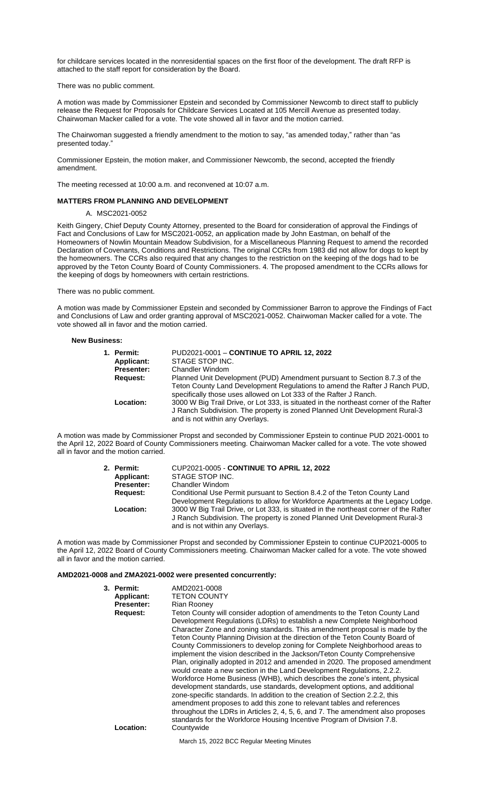for childcare services located in the nonresidential spaces on the first floor of the development. The draft RFP is attached to the staff report for consideration by the Board.

There was no public comment.

A motion was made by Commissioner Epstein and seconded by Commissioner Newcomb to direct staff to publicly release the Request for Proposals for Childcare Services Located at 105 Mercill Avenue as presented today. Chairwoman Macker called for a vote. The vote showed all in favor and the motion carried.

The Chairwoman suggested a friendly amendment to the motion to say, "as amended today," rather than "as presented today.'

Commissioner Epstein, the motion maker, and Commissioner Newcomb, the second, accepted the friendly amendment.

The meeting recessed at 10:00 a.m. and reconvened at 10:07 a.m.

# **MATTERS FROM PLANNING AND DEVELOPMENT**

## A. MSC2021-0052

Keith Gingery, Chief Deputy County Attorney, presented to the Board for consideration of approval the Findings of Fact and Conclusions of Law for MSC2021-0052, an application made by John Eastman, on behalf of the Homeowners of Nowlin Mountain Meadow Subdivision, for a Miscellaneous Planning Request to amend the recorded Declaration of Covenants, Conditions and Restrictions. The original CCRs from 1983 did not allow for dogs to kept by the homeowners. The CCRs also required that any changes to the restriction on the keeping of the dogs had to be approved by the Teton County Board of County Commissioners. 4. The proposed amendment to the CCRs allows for the keeping of dogs by homeowners with certain restrictions.

There was no public comment.

A motion was made by Commissioner Epstein and seconded by Commissioner Barron to approve the Findings of Fact and Conclusions of Law and order granting approval of MSC2021-0052. Chairwoman Macker called for a vote. The vote showed all in favor and the motion carried.

#### **New Business:**

| 1. Permit:<br>Applicant:<br><b>Presenter:</b> | PUD2021-0001 - CONTINUE TO APRIL 12, 2022<br>STAGE STOP INC.<br>Chandler Windom                                                                                                                                              |
|-----------------------------------------------|------------------------------------------------------------------------------------------------------------------------------------------------------------------------------------------------------------------------------|
| Request:                                      | Planned Unit Development (PUD) Amendment pursuant to Section 8.7.3 of the<br>Teton County Land Development Regulations to amend the Rafter J Ranch PUD,<br>specifically those uses allowed on Lot 333 of the Rafter J Ranch. |
| Location:                                     | 3000 W Big Trail Drive, or Lot 333, is situated in the northeast corner of the Rafter<br>J Ranch Subdivision. The property is zoned Planned Unit Development Rural-3<br>and is not within any Overlays.                      |

A motion was made by Commissioner Propst and seconded by Commissioner Epstein to continue PUD 2021-0001 to the April 12, 2022 Board of County Commissioners meeting. Chairwoman Macker called for a vote. The vote showed all in favor and the motion carried.

| 2. Permit:        | CUP2021-0005 - CONTINUE TO APRIL 12, 2022                                             |
|-------------------|---------------------------------------------------------------------------------------|
| Applicant:        | STAGE STOP INC.                                                                       |
| <b>Presenter:</b> | Chandler Windom                                                                       |
| Request:          | Conditional Use Permit pursuant to Section 8.4.2 of the Teton County Land             |
|                   | Development Regulations to allow for Workforce Apartments at the Legacy Lodge.        |
| Location:         | 3000 W Big Trail Drive, or Lot 333, is situated in the northeast corner of the Rafter |
|                   | J Ranch Subdivision. The property is zoned Planned Unit Development Rural-3           |
|                   | and is not within any Overlays.                                                       |

A motion was made by Commissioner Propst and seconded by Commissioner Epstein to continue CUP2021-0005 to the April 12, 2022 Board of County Commissioners meeting. Chairwoman Macker called for a vote. The vote showed all in favor and the motion carried.

# **AMD2021-0008 and ZMA2021-0002 were presented concurrently:**

| 3. Permit:<br><b>Applicant:</b><br><b>Presenter:</b><br><b>Request:</b> | AMD2021-0008<br><b>TETON COUNTY</b><br>Rian Rooney<br>Teton County will consider adoption of amendments to the Teton County Land<br>Development Regulations (LDRs) to establish a new Complete Neighborhood<br>Character Zone and zoning standards. This amendment proposal is made by the<br>Teton County Planning Division at the direction of the Teton County Board of<br>County Commissioners to develop zoning for Complete Neighborhood areas to<br>implement the vision described in the Jackson/Teton County Comprehensive<br>Plan, originally adopted in 2012 and amended in 2020. The proposed amendment<br>would create a new section in the Land Development Regulations, 2.2.2.<br>Workforce Home Business (WHB), which describes the zone's intent, physical<br>development standards, use standards, development options, and additional<br>zone-specific standards. In addition to the creation of Section 2.2.2, this<br>amendment proposes to add this zone to relevant tables and references<br>throughout the LDRs in Articles 2, 4, 5, 6, and 7. The amendment also proposes<br>standards for the Workforce Housing Incentive Program of Division 7.8. |
|-------------------------------------------------------------------------|------------------------------------------------------------------------------------------------------------------------------------------------------------------------------------------------------------------------------------------------------------------------------------------------------------------------------------------------------------------------------------------------------------------------------------------------------------------------------------------------------------------------------------------------------------------------------------------------------------------------------------------------------------------------------------------------------------------------------------------------------------------------------------------------------------------------------------------------------------------------------------------------------------------------------------------------------------------------------------------------------------------------------------------------------------------------------------------------------------------------------------------------------------------------------|
| Location:                                                               | Countywide                                                                                                                                                                                                                                                                                                                                                                                                                                                                                                                                                                                                                                                                                                                                                                                                                                                                                                                                                                                                                                                                                                                                                                   |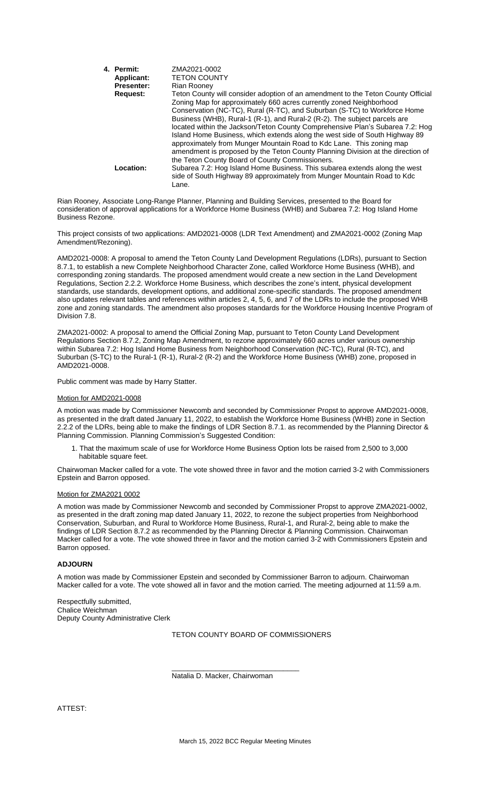| 4. Permit:        | ZMA2021-0002                                                                     |
|-------------------|----------------------------------------------------------------------------------|
| <b>Applicant:</b> | <b>TETON COUNTY</b>                                                              |
| <b>Presenter:</b> | Rian Roonev                                                                      |
| Request:          | Teton County will consider adoption of an amendment to the Teton County Official |
|                   | Zoning Map for approximately 660 acres currently zoned Neighborhood              |
|                   | Conservation (NC-TC), Rural (R-TC), and Suburban (S-TC) to Workforce Home        |
|                   | Business (WHB), Rural-1 (R-1), and Rural-2 (R-2). The subject parcels are        |
|                   | located within the Jackson/Teton County Comprehensive Plan's Subarea 7.2: Hog    |
|                   | Island Home Business, which extends along the west side of South Highway 89      |
|                   | approximately from Munger Mountain Road to Kdc Lane. This zoning map             |
|                   | amendment is proposed by the Teton County Planning Division at the direction of  |
|                   | the Teton County Board of County Commissioners.                                  |
| Location:         | Subarea 7.2: Hog Island Home Business. This subarea extends along the west       |
|                   | side of South Highway 89 approximately from Munger Mountain Road to Kdc          |
|                   | Lane.                                                                            |

Rian Rooney, Associate Long-Range Planner, Planning and Building Services, presented to the Board for consideration of approval applications for a Workforce Home Business (WHB) and Subarea 7.2: Hog Island Home Business Rezone.

This project consists of two applications: AMD2021-0008 (LDR Text Amendment) and ZMA2021-0002 (Zoning Map Amendment/Rezoning).

AMD2021-0008: A proposal to amend the Teton County Land Development Regulations (LDRs), pursuant to Section 8.7.1, to establish a new Complete Neighborhood Character Zone, called Workforce Home Business (WHB), and corresponding zoning standards. The proposed amendment would create a new section in the Land Development Regulations, Section 2.2.2. Workforce Home Business, which describes the zone's intent, physical development standards, use standards, development options, and additional zone-specific standards. The proposed amendment also updates relevant tables and references within articles 2, 4, 5, 6, and 7 of the LDRs to include the proposed WHB zone and zoning standards. The amendment also proposes standards for the Workforce Housing Incentive Program of Division 7.8.

ZMA2021-0002: A proposal to amend the Official Zoning Map, pursuant to Teton County Land Development Regulations Section 8.7.2, Zoning Map Amendment, to rezone approximately 660 acres under various ownership within Subarea 7.2: Hog Island Home Business from Neighborhood Conservation (NC-TC), Rural (R-TC), and Suburban (S-TC) to the Rural-1 (R-1), Rural-2 (R-2) and the Workforce Home Business (WHB) zone, proposed in AMD2021-0008.

Public comment was made by Harry Statter.

### Motion for AMD2021-0008

A motion was made by Commissioner Newcomb and seconded by Commissioner Propst to approve AMD2021-0008, as presented in the draft dated January 11, 2022, to establish the Workforce Home Business (WHB) zone in Section 2.2.2 of the LDRs, being able to make the findings of LDR Section 8.7.1. as recommended by the Planning Director & Planning Commission. Planning Commission's Suggested Condition:

1. That the maximum scale of use for Workforce Home Business Option lots be raised from 2,500 to 3,000 habitable square feet.

Chairwoman Macker called for a vote. The vote showed three in favor and the motion carried 3-2 with Commissioners Epstein and Barron opposed.

### Motion for ZMA2021 0002

A motion was made by Commissioner Newcomb and seconded by Commissioner Propst to approve ZMA2021-0002, as presented in the draft zoning map dated January 11, 2022, to rezone the subject properties from Neighborhood Conservation, Suburban, and Rural to Workforce Home Business, Rural-1, and Rural-2, being able to make the findings of LDR Section 8.7.2 as recommended by the Planning Director & Planning Commission. Chairwoman Macker called for a vote. The vote showed three in favor and the motion carried 3-2 with Commissioners Epstein and Barron opposed.

## **ADJOURN**

A motion was made by Commissioner Epstein and seconded by Commissioner Barron to adjourn. Chairwoman Macker called for a vote. The vote showed all in favor and the motion carried. The meeting adjourned at 11:59 a.m.

Respectfully submitted, Chalice Weichman Deputy County Administrative Clerk

TETON COUNTY BOARD OF COMMISSIONERS

\_\_\_\_\_\_\_\_\_\_\_\_\_\_\_\_\_\_\_\_\_\_\_\_\_\_\_\_\_\_\_\_ Natalia D. Macker, Chairwoman

ATTEST: